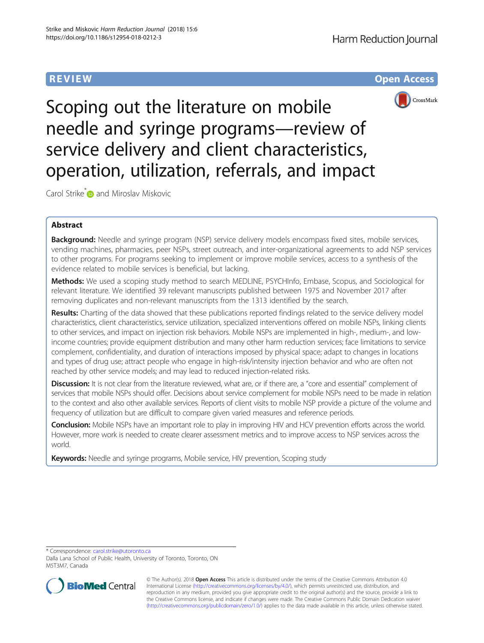**REVIEW CONSTRUCTION CONSTRUCTION CONSTRUCTS** 



Scoping out the literature on mobile needle and syringe programs—review of service delivery and client characteristics, operation, utilization, referrals, and impact

Carol Strike<sup>\*</sup> and Miroslav Miskovic

# Abstract

**Background:** Needle and syringe program (NSP) service delivery models encompass fixed sites, mobile services, vending machines, pharmacies, peer NSPs, street outreach, and inter-organizational agreements to add NSP services to other programs. For programs seeking to implement or improve mobile services, access to a synthesis of the evidence related to mobile services is beneficial, but lacking.

Methods: We used a scoping study method to search MEDLINE, PSYCHInfo, Embase, Scopus, and Sociological for relevant literature. We identified 39 relevant manuscripts published between 1975 and November 2017 after removing duplicates and non-relevant manuscripts from the 1313 identified by the search.

Results: Charting of the data showed that these publications reported findings related to the service delivery model characteristics, client characteristics, service utilization, specialized interventions offered on mobile NSPs, linking clients to other services, and impact on injection risk behaviors. Mobile NSPs are implemented in high-, medium-, and lowincome countries; provide equipment distribution and many other harm reduction services; face limitations to service complement, confidentiality, and duration of interactions imposed by physical space; adapt to changes in locations and types of drug use; attract people who engage in high-risk/intensity injection behavior and who are often not reached by other service models; and may lead to reduced injection-related risks.

**Discussion:** It is not clear from the literature reviewed, what are, or if there are, a "core and essential" complement of services that mobile NSPs should offer. Decisions about service complement for mobile NSPs need to be made in relation to the context and also other available services. Reports of client visits to mobile NSP provide a picture of the volume and frequency of utilization but are difficult to compare given varied measures and reference periods.

Conclusion: Mobile NSPs have an important role to play in improving HIV and HCV prevention efforts across the world. However, more work is needed to create clearer assessment metrics and to improve access to NSP services across the world.

Keywords: Needle and syringe programs, Mobile service, HIV prevention, Scoping study

\* Correspondence: [carol.strike@utoronto.ca](mailto:carol.strike@utoronto.ca)

Dalla Lana School of Public Health, University of Toronto, Toronto, ON M5T3M7, Canada



© The Author(s). 2018 Open Access This article is distributed under the terms of the Creative Commons Attribution 4.0 International License [\(http://creativecommons.org/licenses/by/4.0/](http://creativecommons.org/licenses/by/4.0/)), which permits unrestricted use, distribution, and reproduction in any medium, provided you give appropriate credit to the original author(s) and the source, provide a link to the Creative Commons license, and indicate if changes were made. The Creative Commons Public Domain Dedication waiver [\(http://creativecommons.org/publicdomain/zero/1.0/](http://creativecommons.org/publicdomain/zero/1.0/)) applies to the data made available in this article, unless otherwise stated.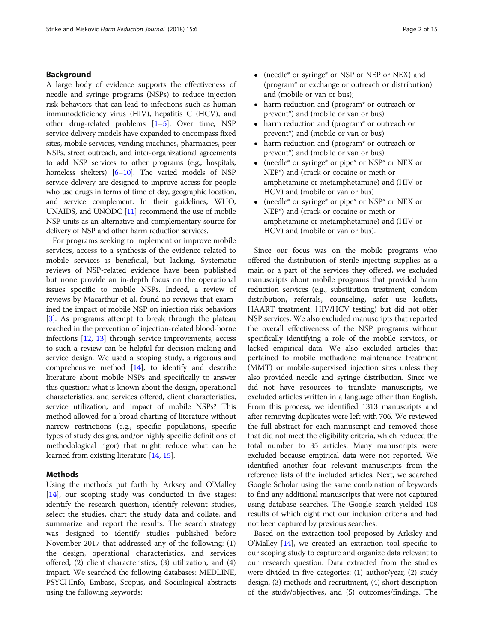## Background

A large body of evidence supports the effectiveness of needle and syringe programs (NSPs) to reduce injection risk behaviors that can lead to infections such as human immunodeficiency virus (HIV), hepatitis C (HCV), and other drug-related problems [[1](#page-13-0)–[5](#page-13-0)]. Over time, NSP service delivery models have expanded to encompass fixed sites, mobile services, vending machines, pharmacies, peer NSPs, street outreach, and inter-organizational agreements to add NSP services to other programs (e.g., hospitals, homeless shelters) [\[6](#page-13-0)–[10\]](#page-13-0). The varied models of NSP service delivery are designed to improve access for people who use drugs in terms of time of day, geographic location, and service complement. In their guidelines, WHO, UNAIDS, and UNODC [\[11\]](#page-13-0) recommend the use of mobile NSP units as an alternative and complementary source for delivery of NSP and other harm reduction services.

For programs seeking to implement or improve mobile services, access to a synthesis of the evidence related to mobile services is beneficial, but lacking. Systematic reviews of NSP-related evidence have been published but none provide an in-depth focus on the operational issues specific to mobile NSPs. Indeed, a review of reviews by Macarthur et al. found no reviews that examined the impact of mobile NSP on injection risk behaviors [[3\]](#page-13-0). As programs attempt to break through the plateau reached in the prevention of injection-related blood-borne infections [[12](#page-13-0), [13\]](#page-13-0) through service improvements, access to such a review can be helpful for decision-making and service design. We used a scoping study, a rigorous and comprehensive method [[14\]](#page-13-0), to identify and describe literature about mobile NSPs and specifically to answer this question: what is known about the design, operational characteristics, and services offered, client characteristics, service utilization, and impact of mobile NSPs? This method allowed for a broad charting of literature without narrow restrictions (e.g., specific populations, specific types of study designs, and/or highly specific definitions of methodological rigor) that might reduce what can be learned from existing literature [\[14,](#page-13-0) [15](#page-13-0)].

## Methods

Using the methods put forth by Arksey and O'Malley [[14\]](#page-13-0), our scoping study was conducted in five stages: identify the research question, identify relevant studies, select the studies, chart the study data and collate, and summarize and report the results. The search strategy was designed to identify studies published before November 2017 that addressed any of the following: (1) the design, operational characteristics, and services offered, (2) client characteristics, (3) utilization, and (4) impact. We searched the following databases: MEDLINE, PSYCHInfo, Embase, Scopus, and Sociological abstracts using the following keywords:

- (needle\* or syringe\* or NSP or NEP or NEX) and (program\* or exchange or outreach or distribution) and (mobile or van or bus);
- harm reduction and (program<sup>\*</sup> or outreach or prevent\*) and (mobile or van or bus)
- harm reduction and (program\* or outreach or prevent\*) and (mobile or van or bus)
- harm reduction and (program<sup>\*</sup> or outreach or prevent\*) and (mobile or van or bus)
- (needle\* or syringe\* or pipe\* or NSP\* or NEX or NEP\*) and (crack or cocaine or meth or amphetamine or metamphetamine) and (HIV or HCV) and (mobile or van or bus)
- (needle\* or syringe\* or pipe\* or NSP\* or NEX or NEP\*) and (crack or cocaine or meth or amphetamine or metamphetamine) and (HIV or HCV) and (mobile or van or bus).

Since our focus was on the mobile programs who offered the distribution of sterile injecting supplies as a main or a part of the services they offered, we excluded manuscripts about mobile programs that provided harm reduction services (e.g., substitution treatment, condom distribution, referrals, counseling, safer use leaflets, HAART treatment, HIV/HCV testing) but did not offer NSP services. We also excluded manuscripts that reported the overall effectiveness of the NSP programs without specifically identifying a role of the mobile services, or lacked empirical data. We also excluded articles that pertained to mobile methadone maintenance treatment (MMT) or mobile-supervised injection sites unless they also provided needle and syringe distribution. Since we did not have resources to translate manuscripts, we excluded articles written in a language other than English. From this process, we identified 1313 manuscripts and after removing duplicates were left with 706. We reviewed the full abstract for each manuscript and removed those that did not meet the eligibility criteria, which reduced the total number to 35 articles. Many manuscripts were excluded because empirical data were not reported. We identified another four relevant manuscripts from the reference lists of the included articles. Next, we searched Google Scholar using the same combination of keywords to find any additional manuscripts that were not captured using database searches. The Google search yielded 108 results of which eight met our inclusion criteria and had not been captured by previous searches.

Based on the extraction tool proposed by Arksley and O'Malley [[14](#page-13-0)], we created an extraction tool specific to our scoping study to capture and organize data relevant to our research question. Data extracted from the studies were divided in five categories: (1) author/year, (2) study design, (3) methods and recruitment, (4) short description of the study/objectives, and (5) outcomes/findings. The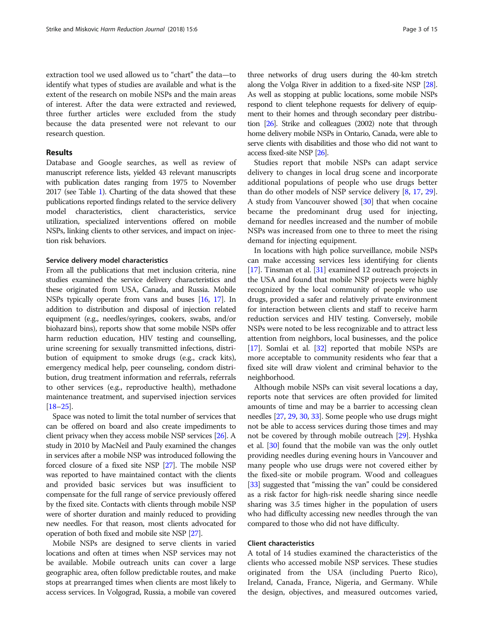extraction tool we used allowed us to "chart" the data—to identify what types of studies are available and what is the extent of the research on mobile NSPs and the main areas of interest. After the data were extracted and reviewed, three further articles were excluded from the study because the data presented were not relevant to our research question.

## Results

Database and Google searches, as well as review of manuscript reference lists, yielded 43 relevant manuscripts with publication dates ranging from 1975 to November 2017 (see Table [1](#page-3-0)). Charting of the data showed that these publications reported findings related to the service delivery model characteristics, client characteristics, service utilization, specialized interventions offered on mobile NSPs, linking clients to other services, and impact on injection risk behaviors.

### Service delivery model characteristics

From all the publications that met inclusion criteria, nine studies examined the service delivery characteristics and these originated from USA, Canada, and Russia. Mobile NSPs typically operate from vans and buses [\[16](#page-13-0), [17](#page-13-0)]. In addition to distribution and disposal of injection related equipment (e.g., needles/syringes, cookers, swabs, and/or biohazard bins), reports show that some mobile NSPs offer harm reduction education, HIV testing and counselling, urine screening for sexually transmitted infections, distribution of equipment to smoke drugs (e.g., crack kits), emergency medical help, peer counseling, condom distribution, drug treatment information and referrals, referrals to other services (e.g., reproductive health), methadone maintenance treatment, and supervised injection services [[18](#page-13-0)–[25\]](#page-14-0).

Space was noted to limit the total number of services that can be offered on board and also create impediments to client privacy when they access mobile NSP services [[26\]](#page-14-0). A study in 2010 by MacNeil and Pauly examined the changes in services after a mobile NSP was introduced following the forced closure of a fixed site NSP [\[27\]](#page-14-0). The mobile NSP was reported to have maintained contact with the clients and provided basic services but was insufficient to compensate for the full range of service previously offered by the fixed site. Contacts with clients through mobile NSP were of shorter duration and mainly reduced to providing new needles. For that reason, most clients advocated for operation of both fixed and mobile site NSP [\[27](#page-14-0)].

Mobile NSPs are designed to serve clients in varied locations and often at times when NSP services may not be available. Mobile outreach units can cover a large geographic area, often follow predictable routes, and make stops at prearranged times when clients are most likely to access services. In Volgograd, Russia, a mobile van covered

three networks of drug users during the 40-km stretch along the Volga River in addition to a fixed-site NSP [\[28](#page-14-0)]. As well as stopping at public locations, some mobile NSPs respond to client telephone requests for delivery of equipment to their homes and through secondary peer distribution [\[26\]](#page-14-0). Strike and colleagues (2002) note that through home delivery mobile NSPs in Ontario, Canada, were able to serve clients with disabilities and those who did not want to access fixed-site NSP [\[26\]](#page-14-0).

Studies report that mobile NSPs can adapt service delivery to changes in local drug scene and incorporate additional populations of people who use drugs better than do other models of NSP service delivery [\[8](#page-13-0), [17](#page-13-0), [29](#page-14-0)]. A study from Vancouver showed [\[30\]](#page-14-0) that when cocaine became the predominant drug used for injecting, demand for needles increased and the number of mobile NSPs was increased from one to three to meet the rising demand for injecting equipment.

In locations with high police surveillance, mobile NSPs can make accessing services less identifying for clients [[17](#page-13-0)]. Tinsman et al. [[31](#page-14-0)] examined 12 outreach projects in the USA and found that mobile NSP projects were highly recognized by the local community of people who use drugs, provided a safer and relatively private environment for interaction between clients and staff to receive harm reduction services and HIV testing. Conversely, mobile NSPs were noted to be less recognizable and to attract less attention from neighbors, local businesses, and the police [[17](#page-13-0)]. Somlai et al. [\[32](#page-14-0)] reported that mobile NSPs are more acceptable to community residents who fear that a fixed site will draw violent and criminal behavior to the neighborhood.

Although mobile NSPs can visit several locations a day, reports note that services are often provided for limited amounts of time and may be a barrier to accessing clean needles [\[27,](#page-14-0) [29](#page-14-0), [30](#page-14-0), [33\]](#page-14-0). Some people who use drugs might not be able to access services during those times and may not be covered by through mobile outreach [\[29\]](#page-14-0). Hyshka et al. [\[30](#page-14-0)] found that the mobile van was the only outlet providing needles during evening hours in Vancouver and many people who use drugs were not covered either by the fixed-site or mobile program. Wood and colleagues [[33](#page-14-0)] suggested that "missing the van" could be considered as a risk factor for high-risk needle sharing since needle sharing was 3.5 times higher in the population of users who had difficulty accessing new needles through the van compared to those who did not have difficulty.

## Client characteristics

A total of 14 studies examined the characteristics of the clients who accessed mobile NSP services. These studies originated from the USA (including Puerto Rico), Ireland, Canada, France, Nigeria, and Germany. While the design, objectives, and measured outcomes varied,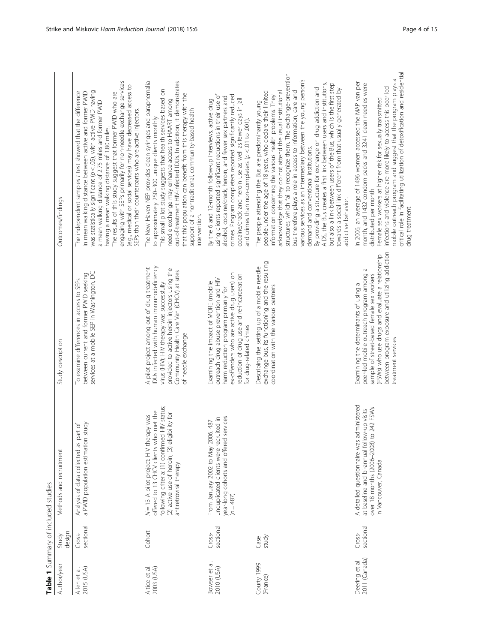<span id="page-3-0"></span>

|                             |                     | <b>CONSIDER A SECTION AND LONGED ASSESSED</b>                                                                                                                                                                 |                                                                                                                                                                                                                                                           |                                                                                                                                                                                                                                                                                                                                                                                                                                                                                                                                                                |
|-----------------------------|---------------------|---------------------------------------------------------------------------------------------------------------------------------------------------------------------------------------------------------------|-----------------------------------------------------------------------------------------------------------------------------------------------------------------------------------------------------------------------------------------------------------|----------------------------------------------------------------------------------------------------------------------------------------------------------------------------------------------------------------------------------------------------------------------------------------------------------------------------------------------------------------------------------------------------------------------------------------------------------------------------------------------------------------------------------------------------------------|
| Author/year                 | design<br>Study     | Methods and recruitment                                                                                                                                                                                       | Study description                                                                                                                                                                                                                                         | Outcomes/findings                                                                                                                                                                                                                                                                                                                                                                                                                                                                                                                                              |
| 2015 (USA)<br>Allen et al   | sectional<br>Cross- | study<br>Analysis of data collected as part of<br>a PWID population estimation                                                                                                                                | services at a mobile SEP in Washington, DC<br>between current and former PWID seeking<br>To examine differences in access to SEPs                                                                                                                         | engaging with SEPs primarily for non-needle exchange services<br>(e.g., medical or social services) may have decreased access to<br>was statistically significant (p < .05), with active PWID having<br>The independent samples t test showed that the difference<br>The results of this study suggest that former PWID who are<br>in mean walking distance between active and former PWID<br>a mean walking distance of 2.75 miles and former PWID<br>SEPs than their counterparts who are active injectors.<br>having a mean walking distance of 1.80 miles. |
| 2003 (USA)<br>Altice et al. | Cohort              | following criteria: (1) confirmed HIV status;<br>offered to 13 CHCV clients who met the<br>(2) active use of heroin; (3) eligibility for<br>N = 13 A pilot project: HIV therapy was<br>antiretroviral therapy | IDUs infected with human immunodeficiency<br>A pilot project among out-of-drug treatment<br>provided to active heroin injectors using the<br>Community Health Care Van (CHCV) at sites<br>virus (HIV); HIV therapy was successfully<br>of needle exchange | out-of-treatment HIV-infected IDUs. In addition, it demonstrates<br>The New Haven NEP provides clean syringes and paraphernalia<br>This small pilot study suggests that health services based on<br>that this population can benefit from this therapy with the<br>needle exchange may enhance access to HAART among<br>support of a nontraditional, community-based health<br>to approximately 250-300 unique clients monthly<br>ntervention.                                                                                                                 |
| Bowser et al.<br>2010 (USA) | sectional<br>Cross- | services<br>unduplicated clients were recruited in<br>From January 2002 to May 2006, 487<br>year-long cohorts and offered<br>$(n = 487)$                                                                      | ex-offenders who are active drug users) on<br>reduction of drug use and re-incarceration<br>outreach drug abuse prevention and HIV<br>Examining the impact of MORE (mobile<br>harm reduction program primarily for<br>for drug-related crimes             | using clients reported significant reductions in their use of<br>crimes. Program completers reported significantly reduced<br>alcohol, cocaine/crack, heroin, and fewer sex partners and<br>cocaine/crack and heroin use as well as fewer days in jail<br>By the 6 and 12-month follow-up interviews, active drug<br>and crimes than non-completers $(p < 01$ to .001).                                                                                                                                                                                        |
| Courty 1999<br>(France)     | study<br>Case       |                                                                                                                                                                                                               | exchange bus, its functioning and the resulting<br>Describing the setting up of a mobile needle<br>coordination with the various partners                                                                                                                 | structures, which fail to recognize them. The exchange-prevention<br>various services as an intermediary between the young person's<br>By providing a structure for exchange on drug addiction and<br>acknowledge that they do not attend the usual institutional<br>people under the age of 18 years, who declare their limited<br>bus therefore plays a role in access to information, care and<br>information concerning the various health problems. They<br>The people attending the Bus are predominantly young<br>demand and conventional institutions. |

Table 1 Summary of included studies Table 1 Summary of included studies AIDS, the Bus creates a first link between users and institutions, but also a link between users of the Bus, which is the first step towards a social link different from that usually generated by

but also a link between users of the Bus, which is the first step<br>towards a social link different from that usually generated by

AIDS, the Bus creates a first link between users and institutions,

addictive behavior.

addictive behavior.

In 2006, an average of 1496 women accessed the MAP van per month, and 1432 condom packs and 3241 clean needles were

In 2006, an average of 1496 women accessed the MAP van per<br>month, and 1432 condom packs and 3241 clean needles were

distributed per month

distributed per month

drug treatment.

drug treatment.

critical role in facilitating utilization of detoxification and residential

mobile outreach program and suggest that the program plays a

Female sex workers at higher risk for sexually transmitted infections and violence are more likely to access this peer-led mobile outreach program and suggest that the program plays a critical role in facilitating utilization of detoxification and residential

Female sex workers at higher risk for sexually transmitted<br>infections and violence are more likely to access this peer-led

Deering et al. 2011 (Canada)

Deering et al.<br>2011 (Canada)

Cross-

sectional

sectional A detailed questionnaire was administered at baseline and bi-annual follow-up visits

Examining the determinants of using a peer-led mobile outreach program among a sample of street-based female sex workers (FSWs) who use drugs and evaluate a relationship between program exposure and utilizing addiction

sample of street-based female sex workers Examining the determinants of using a

over 18 months (2006–2008) to 242 FSWs

A detailed questionnaire was administered<br>at baseline and bi-annual follow-up visits<br>over 18 months (2006–2008) to 242 FSWs<br>in Vancouver, Canada

in Vancouver, Canada

treatment services

treatment services

(FSWs) who use drugs and evaluate a relationship<br>between program exposure and utilizing addiction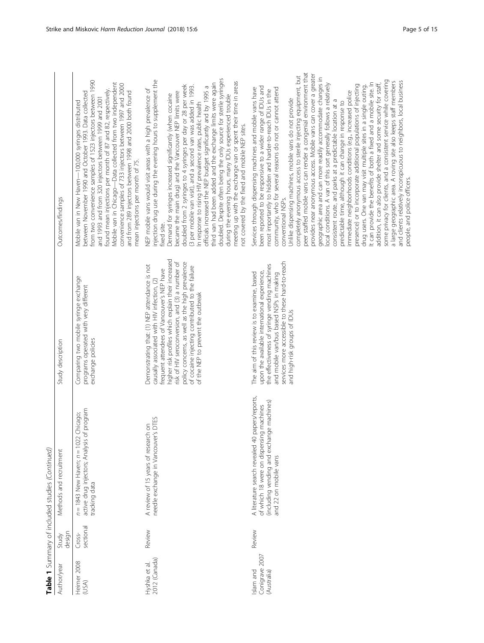|                                            |                     | Table 1 Summary of included studies (Continued)                                                                                                                     |                                                                                                                                                                                                                                                                                                                                                                                                 |                                                                                                                                                                                                                                                                                                                                                                                                                                                                                                                                                                                                                                                                                                                                                                                                                                                                                                                                                                                                                                                                                                                                                                                                                                                                                                                                                                                                            |
|--------------------------------------------|---------------------|---------------------------------------------------------------------------------------------------------------------------------------------------------------------|-------------------------------------------------------------------------------------------------------------------------------------------------------------------------------------------------------------------------------------------------------------------------------------------------------------------------------------------------------------------------------------------------|------------------------------------------------------------------------------------------------------------------------------------------------------------------------------------------------------------------------------------------------------------------------------------------------------------------------------------------------------------------------------------------------------------------------------------------------------------------------------------------------------------------------------------------------------------------------------------------------------------------------------------------------------------------------------------------------------------------------------------------------------------------------------------------------------------------------------------------------------------------------------------------------------------------------------------------------------------------------------------------------------------------------------------------------------------------------------------------------------------------------------------------------------------------------------------------------------------------------------------------------------------------------------------------------------------------------------------------------------------------------------------------------------------|
| Author/year                                | design<br>Study     | Methods and recruitment                                                                                                                                             | Study description                                                                                                                                                                                                                                                                                                                                                                               | Outcomes/findings                                                                                                                                                                                                                                                                                                                                                                                                                                                                                                                                                                                                                                                                                                                                                                                                                                                                                                                                                                                                                                                                                                                                                                                                                                                                                                                                                                                          |
| Heimer 2008<br>(USA)                       | sectional<br>Cross- | active drug injectors; Analysis of program<br>Chicago;<br>$n = 1843$ New Haven; $n = 1022$<br>tracking data                                                         | Comparing two mobile syringe exchange<br>programs operated with very different<br>exchange policies                                                                                                                                                                                                                                                                                             | from two convenience samples of 1523 injectors between 1990<br>Mobile van in Chicago-Data collected from two independent<br>convenience samples of 733 injectors between 1997 and 2000<br>found mean injections per month of 87 and 82, respectively.<br>and from 289 injectors between 1998 and 2000 both found<br>between November 1990 and October 1993. Data collected<br>and 1993 and from 320 injectors between 1999 and 2001<br>Mobile van in New Haven-100,000 syringes distributed<br>mean injections per month of 75.                                                                                                                                                                                                                                                                                                                                                                                                                                                                                                                                                                                                                                                                                                                                                                                                                                                                            |
| 2012 (Canada)<br>Hyshka et al.             | Review              | needle exchange in Vancouver's DTES<br>A review of 15 years of research on                                                                                          | higher risk profiles which explain their increased<br>risk of HIV seroconversion, and (3) a number of<br>policy concerns, as well as the high prevalence<br>Demonstrating that: (1) NEP attendance is not<br>of cocaine injecting contributed to the failure<br>frequent attendees of Vancouver's NEP have<br>causally associated with HIV infection, (2)<br>of the NEP to prevent the outbreak | doubled. Despite often being the only source for sterile syringes<br>injection drug use during the evening hours to supplement the<br>meeting up with the exchange van or spent their time in areas<br>third van had been added and the exchange limits were again<br>doubled from 2 syringes to 4 syringes per day or 28 per week<br>(3 per mobile van visit), and a second van was added in 1993.<br>officials increased the NEP budget significantly and by 1995 a<br>NEP mobile vans would visit areas with a high prevalence of<br>became the main drug) and the Vancouver NEP limits were<br>during the evening hours, many IDUs experienced trouble<br>Demand for syringes increased significantly (when cocaine<br>In response to rising HIV prevalence rates, public health<br>not covered by the fixed and mobile NEP sites.<br>fixed site.                                                                                                                                                                                                                                                                                                                                                                                                                                                                                                                                                      |
| Conigrave 2007<br>Islam and<br>(Australia) | Review              | papers/reports,<br>(including vending and exchange machines)<br>of which 18 were on dispensing machines<br>A literature search revealed 40<br>and 22 on mobile vans | services more accessible to these hard-to-reach<br>the effectiveness of syringe vending machines<br>upon the available international experience,<br>The aim of this review is to examine, based<br>and mobile van/bus based NSPs in making<br>and high-risk groups of IDUs                                                                                                                      | peer staffed mobile vans can render a congenial environment that<br>provides near anonymous access. Mobile vans can cover a greater<br>completely anonymous access to sterile injecting equipment, but<br>geographic area and can more readily accommodate changes in<br>some privacy for clients, and a consistent service while covering<br>and clients relatively inconspicuous to neighbors, local business<br>a large geographic area. A roving site also keeps staff members<br>It can provide the benefits of both a fixed and a mobile site. In<br>local conditions. A van of this sort generally follows a relatively<br>addition, it can also provide shelter and some security for staff,<br>presence) or to incorporate additional populations of injecting<br>drug users. One van may visit multiple sites in a single outing.<br>been reported to be responsive to a wider range of IDUs and<br>Services through dispensing machines and mobile vans have<br>community, who for several reasons do not or cannot attend<br>most importantly to hidden and harder-to-reach IDUs in the<br>immediate neighborhoods conditions (e.g., increased police<br>Unlike dispensing machines, mobile vans do not provide<br>consistent route, and parks at a predictable location at a<br>predictable time, although it can change in response to<br>people, and police officers.<br>conventional NSPs. |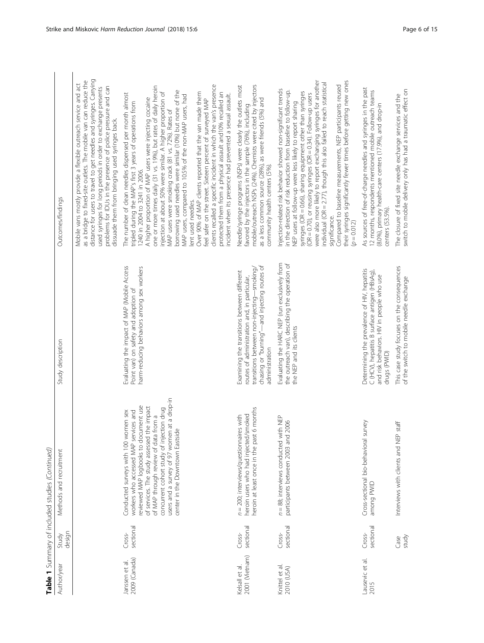|                                  |                     | <b>Table 1</b> Summary of included studies (Continued)                                                                                                                                                                                                                                                                                         |                                                                                                                                                                                                             |                                                                                                                                                                                                                                                                                                                                                                                                                                                                                                                                                                                                                                                                                                                                                                                                                                                                               |
|----------------------------------|---------------------|------------------------------------------------------------------------------------------------------------------------------------------------------------------------------------------------------------------------------------------------------------------------------------------------------------------------------------------------|-------------------------------------------------------------------------------------------------------------------------------------------------------------------------------------------------------------|-------------------------------------------------------------------------------------------------------------------------------------------------------------------------------------------------------------------------------------------------------------------------------------------------------------------------------------------------------------------------------------------------------------------------------------------------------------------------------------------------------------------------------------------------------------------------------------------------------------------------------------------------------------------------------------------------------------------------------------------------------------------------------------------------------------------------------------------------------------------------------|
| Author/year                      | design<br>Study     | Methods and recruitment                                                                                                                                                                                                                                                                                                                        | Study description                                                                                                                                                                                           | Outcomes/findings                                                                                                                                                                                                                                                                                                                                                                                                                                                                                                                                                                                                                                                                                                                                                                                                                                                             |
|                                  |                     |                                                                                                                                                                                                                                                                                                                                                |                                                                                                                                                                                                             | distance for users to travel to get needles and syringes. Carrying<br>as a bridge to fixed-site outlets. The mobile van can reduce the<br>Mobile vans mostly provide a flexible outreach service and act<br>problems for IDUs in the presence of police pressure and can<br>used syringes for long periods in order to exchange presents<br>dissuade them from bringing used syringes back.                                                                                                                                                                                                                                                                                                                                                                                                                                                                                   |
| 2009 (Canada)<br>lanssen et al   | sectional<br>Cross- | users and a survey of 97 women at a drop-in<br>reviewed MAP logbooks to document use<br>the impact<br>concurrent cohort study of injection drug<br>workers who accessed MAP services and<br>Conducted surveys with 100 women sex<br>of MAP through review of data from a<br>center in the Downtown Eastside<br>of services. The study assessed | Evaluating the impact of MAP (Mobile Access<br>harm-reducing behaviors among sex workers<br>Point van) on safety and adoption of                                                                            | clients recalled a specific incident in which the van's presence<br>one or more times daily (31 vs. 19%), but rates of daily heroin<br>borrowing used needles were similar (10%) but none of the<br>injection at about 50% were similar. A higher proportion of<br>protected them from a physical assault and 10% recalled an<br>Over 90% of MAP clients reported that the van made them<br>The number of clean needles dispensed per month almost<br>incident when its presence had prevented a sexual assault.<br>MAP users, compared to 10.5% of the non-MAP users, had<br>A higher proportion of MAP users were injecting cocaine<br>feel safer on the street. Sixteen percent of surveyed MAP<br>tripled during the MAP's first 3 years of operations from<br>MAP users were smoking crack (81 vs. 72%). Rates of<br>1240 in 2004 to 3241 in 2006.<br>lent used needles. |
| 2001 (Vietnam)<br>Kelsall et al. | sectional<br>Cross- | 6 months<br>'smoked<br>$n = 200$ ; interviews/questionnaires with<br>heroin at least once in the past<br>heroin users who had injected/                                                                                                                                                                                                        | chasing or "burning"—and injecting routes of<br>transitions between non-injecting-smoking/<br>Examining the transitions between different<br>routes of administration and, in particular,<br>administration | mobile/outreach NSPs (24%). Chemists were cited by injectors<br>Needle/syringe programs (NSPs) were clearly the outlets most<br>as a less common source (28%), as were friends (5%) and<br>favored by the injectors in the sample (76%), including<br>community health centers (5%).                                                                                                                                                                                                                                                                                                                                                                                                                                                                                                                                                                                          |
| Knittel et al.<br>2010 (USA)     | sectional<br>Cross- | n = 88; interviews conducted with NEP<br>participants between 2003 and 2006                                                                                                                                                                                                                                                                    | Evaluating the HARC NEP (run exclusively from<br>the outreach van), describing the operation of<br>the NEP and its clients                                                                                  | their syringes significantly fewer times before getting new ones<br>were also more likely to report exchanging syringes for another<br>individual (OR = 2.77), though this also failed to reach statistical<br>Compared to baseline measurements, NEP participants reused<br>Injection-related risk behavior showed non-significant trends<br>in the direction of risk reduction from baseline to follow-up.<br>syringes (OR = 0.66), sharing equipment other than syringes<br>(OR = 0.70), or reusing syringes (OR = 0.34). Follow-up users<br>NEP users at follow-up were less likely to report sharing<br>significance.<br>$(p = 0.012)$                                                                                                                                                                                                                                   |
| Lausevic et al.<br>2015          | sectional<br>Cross- | Cross-sectional bio-behavioral survey<br>among PWID                                                                                                                                                                                                                                                                                            | Determining the prevalence of HIV, hepatitis<br>C (HCV), hepatitis B surface antigen (HBsAg),<br>and risk behaviors. HIV in people who use<br>drugs (PWID)                                                  | As sources of free-of-charge needles and syringes in the past<br>12 months, respondents mentioned mobile outreach teams<br>(8.0%), primary health-care centers (17.9%), and drop-in<br>centers (53.5%).                                                                                                                                                                                                                                                                                                                                                                                                                                                                                                                                                                                                                                                                       |
|                                  | study<br>Case       | staff<br>Interviews with clients and NEP                                                                                                                                                                                                                                                                                                       | This case study focuses on the consequences<br>of the switch to mobile needle exchange                                                                                                                      | switch to mobile delivery only has had a traumatic effect on<br>The closure of fixed site needle exchange services and the                                                                                                                                                                                                                                                                                                                                                                                                                                                                                                                                                                                                                                                                                                                                                    |

Table 1 Summany of included studies (Continued)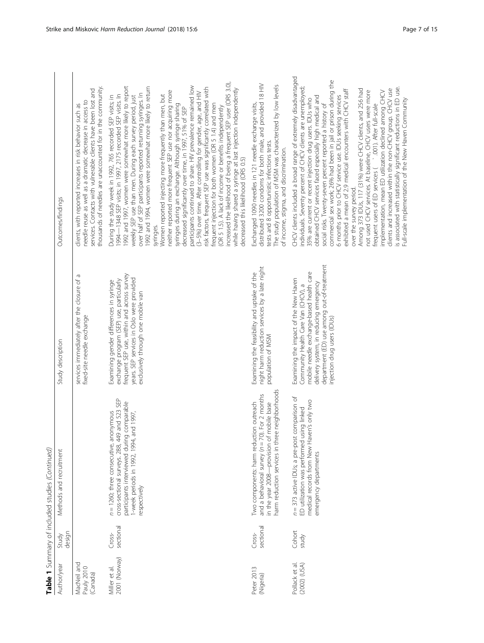|                                       |                     | Table 1 Summary of included studies (Continued)                                                                                                                                                        |                                                                                                                                                                                                                                                 |                                                                                                                                                                                                                                                                                                                                                                                                                                                                                                                                                                                                                                                                                                                                                                                                                                                                                                                                                                                                                                                                                                                                              |
|---------------------------------------|---------------------|--------------------------------------------------------------------------------------------------------------------------------------------------------------------------------------------------------|-------------------------------------------------------------------------------------------------------------------------------------------------------------------------------------------------------------------------------------------------|----------------------------------------------------------------------------------------------------------------------------------------------------------------------------------------------------------------------------------------------------------------------------------------------------------------------------------------------------------------------------------------------------------------------------------------------------------------------------------------------------------------------------------------------------------------------------------------------------------------------------------------------------------------------------------------------------------------------------------------------------------------------------------------------------------------------------------------------------------------------------------------------------------------------------------------------------------------------------------------------------------------------------------------------------------------------------------------------------------------------------------------------|
| Author/year                           | design<br>Study     | Methods and recruitment                                                                                                                                                                                | Study description                                                                                                                                                                                                                               | Outcomes/findings                                                                                                                                                                                                                                                                                                                                                                                                                                                                                                                                                                                                                                                                                                                                                                                                                                                                                                                                                                                                                                                                                                                            |
| MacNeil and<br>Pauly 2010<br>(Canada) |                     |                                                                                                                                                                                                        | services immediately after the closure of a<br>fixed-site needle exchange                                                                                                                                                                       | thousands of needles are unaccounted for in the community.<br>services. Contacts with vulnerable clients have been lost and<br>needle reuse as well as a dramatic decrease in access to<br>clients, with reported increases in risk behavior such as                                                                                                                                                                                                                                                                                                                                                                                                                                                                                                                                                                                                                                                                                                                                                                                                                                                                                         |
| 2001 (Norway)<br>Miller et al.        | sectional<br>Cross- | cross-sectional surveys. 288, 449 and 523 SEP<br>comparable<br>$n = 1260$ ; three consecutive, anonymous<br>I-week periods in 1992, 1994, and 1997,<br>participants interviewed during<br>respectively | frequent SEP use, within and across survey<br>years. SEP services in Oslo were provided<br>exchange program (SEP) use, particularly<br>Examining gender differences in syringe<br>exclusively through one mobile van                            | increased the likelihood of being a frequent SEP user (OR5 3.0),<br>1992 and 1997, women were somewhat more likely to report<br>participants continued to share. HIV prevalence remained low<br>1992 and 1994, women were somewhat more likely to return<br>risk factors, frequent SEP use was significantly correlated with<br>while having shared a syringe at last injection independently<br>neither reported more frequent SEP use nor acquiring more<br>(3-5%) over time. After controlling for gender, age, and HIV<br>over half of SEP participants reported returning syringes. In<br>-1348 SEP visits; in 1997, 2175 recorded SEP visits. In<br>weekly SEP use than men. During each survey period, just<br>Women reported injecting more frequently than men, but<br>During the study week in 1992, 765 recorded SEP visits; in<br>frequent injection for both women (OR 5 1.4) and men<br>syringes during an exchange. Although syringe sharing<br>(OR 5 1.5). A lack of income or benefits independently<br>decreased significantly over time, in 1997, 51% of SEP<br>decreased this likelihood (OR5 0.5)<br>syringes.<br>1994- |
| Peter 2013<br>(Nigeria)               | sectional<br>Cross- | harm reduction services in three neighborhoods<br>and a behavioral survey ( $n = 70$ ). For 2 months<br>mobile base<br>Two components: harm reduction outreach<br>in the year 2008—provision of        | night harm reduction services by a late night<br>Examining the feasibility and uptake of the<br>population of MSM                                                                                                                               | distributed 3200 condoms for both male, and provided 18 HIV<br>The study population of MSM was characterized by low levels<br>Exchanged 1090 needles in 121 needle exchange visits,<br>tests and 8 opportunistic infections tests.<br>of income, stigma, and discrimination.                                                                                                                                                                                                                                                                                                                                                                                                                                                                                                                                                                                                                                                                                                                                                                                                                                                                 |
| Pollack et al.<br>$(2002)$ $(USA)$    | Cohort<br>study     | comparison of<br>medical records from New Haven's only two<br>ED utilization was performed using linked<br>$n = 373$ active IDUs; a pre-post<br>emergency departments                                  | department (ED) use among out-of-treatment<br>mobile needle exchange-based health care<br>Examining the impact of the New Haven<br>delivery system, in reducing emergency<br>Community Health Care Van (CHCV), a<br>injection drug users (IDUs) | CHCV clients included a broad range of extremely disadvantaged<br>commercial sex work; 26% had been in jail or prison during the<br>individuals. Seventy percent of CHCV clients are unemployed;<br>is associated with statistically significant reductions in ED use.<br>Among 373 IDUs, 117 (31%) were CHCV clients, and 256 had<br>clients and increased within the non-CHCV group. CHCV use<br>exhibited a mean of 2.9 medical encounters with CHCV staff<br>not used CHCV services. At baseline, CHCV users were more<br>implementation, mean ED utilization declined among CHCV<br>obtained CHCV services faced especially high medical and<br>6 months prior to CHCV service use. IDUs seeking services<br>Full-scale implementation of the New Haven Community<br>35% are current or recent injection drug users. IDUs who<br>`.001). After full-scale<br>social risks. Twenty-seven percent reported a history of<br>frequent users of ED services (<br>over the survey period.                                                                                                                                                     |

**Table 1** Summary of included studies (Continued) ÷ Š,  $\frac{1}{2}$ ्रं  $\frac{1}{2}$  $\frac{1}{7}$ ي<br>پ  $\bar{\sigma}$  $\cdot$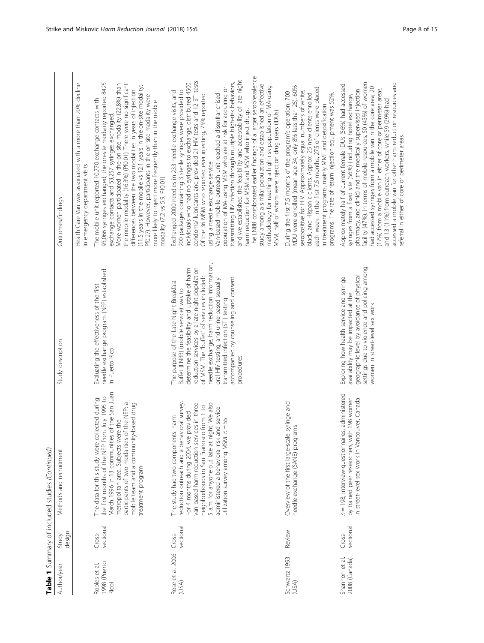Table 1 Summary of included studies (Continued) **Table 1** Summary of included studies (Continued)

| Author/year                            | design<br>Study     | Methods and recruitment                                                                                                                                                                                                                                                                                                                                         | Study description                                                                                                                                                                                                                                                                                                                                                                                                           | Outcomes/findings                                                                                                                                                                                                                                                                                                                                                                                                                                                                                                                                                                                                                                                                                                                                                                                                                                                                                                                                |
|----------------------------------------|---------------------|-----------------------------------------------------------------------------------------------------------------------------------------------------------------------------------------------------------------------------------------------------------------------------------------------------------------------------------------------------------------|-----------------------------------------------------------------------------------------------------------------------------------------------------------------------------------------------------------------------------------------------------------------------------------------------------------------------------------------------------------------------------------------------------------------------------|--------------------------------------------------------------------------------------------------------------------------------------------------------------------------------------------------------------------------------------------------------------------------------------------------------------------------------------------------------------------------------------------------------------------------------------------------------------------------------------------------------------------------------------------------------------------------------------------------------------------------------------------------------------------------------------------------------------------------------------------------------------------------------------------------------------------------------------------------------------------------------------------------------------------------------------------------|
|                                        |                     |                                                                                                                                                                                                                                                                                                                                                                 |                                                                                                                                                                                                                                                                                                                                                                                                                             | Health Care Van was associated with a more than 20% decline<br>in emergency department visits                                                                                                                                                                                                                                                                                                                                                                                                                                                                                                                                                                                                                                                                                                                                                                                                                                                    |
| 1998 (Puerto<br>Robles et al.<br>Rico) | sectional<br>Cross- | March 1996 in 13 communities of the San Juan<br>the first months of the NEP from July 1995 to<br>The data for this study were collected during<br>participants of two modalities of the NEP: a<br>mobile team and a community-based drug<br>metropolitan area. Subjects were the<br>treatment program                                                           | needle exchange program (NEP) established<br>Evaluating the effectiveness of the first<br>in Puerto Rico                                                                                                                                                                                                                                                                                                                    | 93,066 syringes exchanged; the on-site modality reported 8425<br>More women participated in the on-site modality (22.8%) than<br>the mobile modality (16.3%) (Pf0.01). There were no significant<br>(11.5 years in the mobile vs 12.1 years in the on-site modality;<br>differences between the two modalities in years of injection<br>Pf0.27). However, participants in the on-site modality were<br>The mobile unit reported 10,770 exchange contacts with<br>more likely to inject more frequently than in the mobile<br>exchange contacts and 53,257 syringes exchanged.<br>modality (7.2 vs 5.9, Pf0.01).                                                                                                                                                                                                                                                                                                                                  |
| Rose et al. 2006<br>(USA)              | sectional<br>Cross- | reduction outreach and a behavioral survey.<br>5 a.m. for anyone out late at night. We also<br>van-based harm reduction services in three<br>neighborhoods in San Francisco from 1 to<br>administered a behavioral risk and service<br>For 4 months during 2004, we provided<br>The study had two components: harm<br>$n = 55$<br>utilization survey among MSM. | needle exchange, harm reduction information,<br>reduction services by a late night population<br>determine the feasibility and uptake of harm<br>of MSM. The "buffet" of services included:<br>accompanied by counseling and consent<br>oral HIV testing, and urine-based sexually<br>The purpose of the Late Night Breakfast<br>Buffet (LNBB) (mobile service) was to<br>transmitted infection (STI) testing<br>procedures | The LNBB corroborated earlier findings of a larger seroprevalence<br>and we established the feasibility and acceptability of late night<br>condoms/ lubricants and provided 21 HIV tests and 12 STI tests.<br>transmitting HIV infection through multiple high-risk behaviors,<br>individuals who had no syringes to exchange, distributed 4500<br>study among a similar population and established an effective<br>methodology for reaching a high-risk population of MA-using<br>population of MA-using MSM who are at risk for acquiring or<br>200 packages containing 3 sterile syringes were provided to<br>Exchanged 2000 needles in 233 needle exchange visits, and<br>Van-based mobile outreach unit reached a disenfranchised<br>Of the 36 MSM who reported ever injecting, 75% reported<br>harm reduction for MSM and MSM who inject drugs.<br>MSM, half of whom were injection drug users (IDUs).<br>using a needle exchange service. |
| Schwartz 1993<br>(USA)                 | Review              | syringe and<br>needle exchange (SANE) programs<br>Overview of the first large-scale                                                                                                                                                                                                                                                                             |                                                                                                                                                                                                                                                                                                                                                                                                                             | IVDU were enrolled (mean age 34, only 8% less than 25). 60%<br>each week. In the first 7.5 months, 275 of clients were placed<br>seropositive for HIV. Approximately equal numbers of white,<br>During the first 7.5 months of the program's operation, 700<br>black, and Hispanic clients. Approx. 25 new clients enrolled<br>programs. The rate of return injection equipment was 52%.<br>in treatment programs, mainly MMT and detoxification                                                                                                                                                                                                                                                                                                                                                                                                                                                                                                 |
| Shannon et al.<br>2008 (Canada)        | sectional<br>Cross- | $n = 198$ ; interview-questionnaires, administered<br>by trained peer researchers, with 198 women<br>in street-level sex work in Vancouver, Canada                                                                                                                                                                                                              | settings due to violence and policing among<br>geographic level by avoidance of physical<br>Exploring how health service and syringe<br>availability may be impacted at the<br>women in street-level sex work                                                                                                                                                                                                               | facility (47%). In terms of mobile resources, 50 (43%) of women<br>accessed a mobile van for other harm reduction resources and<br>Approximately half of current female IDUs (56%) had accessed<br>had accessed syringes from a mobile van in the core area, 20<br>(17%) from a mobile van in either of core or perimeter areas,<br>pharmacy, and clinic) and the medically supervised injection<br>syringes from a fixed site (56%) (including hotel exchange,<br>and 13 (11%) from outreach workers, while 59 (29%) had<br>referral in either of core or perimeter areas.                                                                                                                                                                                                                                                                                                                                                                      |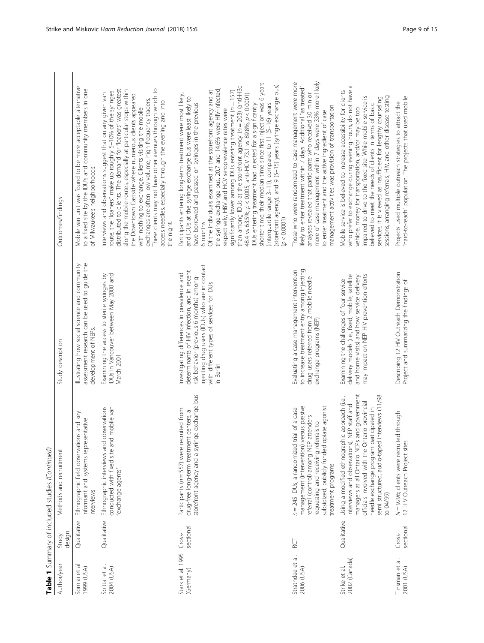|                                |                     | Table 1 Summary of included studies (Continued)                                                                                                                                                                                                                                                         |                                                                                                                                                                                                                                                    |                                                                                                                                                                                                                                                                                                                                                                                                                                                                                                                                                                                                                                                                                                                                                                                                                                                                   |
|--------------------------------|---------------------|---------------------------------------------------------------------------------------------------------------------------------------------------------------------------------------------------------------------------------------------------------------------------------------------------------|----------------------------------------------------------------------------------------------------------------------------------------------------------------------------------------------------------------------------------------------------|-------------------------------------------------------------------------------------------------------------------------------------------------------------------------------------------------------------------------------------------------------------------------------------------------------------------------------------------------------------------------------------------------------------------------------------------------------------------------------------------------------------------------------------------------------------------------------------------------------------------------------------------------------------------------------------------------------------------------------------------------------------------------------------------------------------------------------------------------------------------|
| Author/year                    | design<br>Study     | Methods and recruitment                                                                                                                                                                                                                                                                                 | Study description                                                                                                                                                                                                                                  | Outcomes/findings                                                                                                                                                                                                                                                                                                                                                                                                                                                                                                                                                                                                                                                                                                                                                                                                                                                 |
| Somlai et al<br>1999 (USA)     | Qualitative         | Ethnographic field observations and key<br>informant and systems representative<br>interviews                                                                                                                                                                                                           | assessment research can be used to guide the<br>Illustrating how social science and community<br>development of NEPs.                                                                                                                              | Mobile van unit was found to be more acceptable alternative<br>to a fixed site by the IDU's and community members in one<br>of Milwaukee's neighborhoods.                                                                                                                                                                                                                                                                                                                                                                                                                                                                                                                                                                                                                                                                                                         |
| Spittal et al.<br>2004 (USA)   | Qualitative         | conducted with fixed site and mobile van<br>Ethnographic interviews and observations<br>"exchange agents"                                                                                                                                                                                               | IDUs in Vancouver between May 2000 and<br>Examining the access to sterile syringes by<br>March 2001                                                                                                                                                | These clients may not have other avenues through which to<br>along the mobile routes, especially at particular stops within<br>distributed to clients. The demand for "loaners" was greatest<br>route, the "loaners" make up roughly 5-10% of the syringes<br>Interviews and observations suggest that on any given van<br>the Downtown Eastside where numerous clients appeared<br>exchanges are often low-volume, high-frequency traders.<br>access needles, especially through the evening and into<br>with nothing to exchange. Clients visiting the mobile<br>the night.                                                                                                                                                                                                                                                                                     |
| Stark et al. 1995<br>(Germany) | sectional<br>Cross- | storefront agency and a syringe exchange bus<br>Participants (n = 557) were recruited from<br>centers, a<br>drug-free long-term treatment                                                                                                                                                               | injecting drug users (IDUs) who are in contact<br>determinants of HIV infection, and in recent<br>Investigating differences in prevalence and<br>risk behavior (previous 6 months) among<br>with different types of services for IDUs<br>in Berlin | shorter time: their median time since first injection was 6 years<br>(interquartile range 3–11), compared to 11 (5–16) years<br>(storefront agency), and 9 (5–15) years (syringe exchange bus)<br>than among IDUs at the storefront agency (n = 203) (anti-HBc<br>48.4 vs 63.5%, p < 0,005; anti-HCV 73.1 vs 89.8%, p < 0.0001).<br>the syringe exchange bus, 20.7 and 14.6% were HIV-infected,<br>Of the individuals examined at the storefront agency and at<br>significantly lower among IDUs entering treatment (n = 157)<br>Participants entering long-term treatment were most likely,<br>and IDUs at the syringe exchange bus were least likely to<br>have borrowed and passed on syringes in the previous<br>IDUs entering treatment had injected for a significantly<br>respectively, HBV and HCV seroprevalence rates were<br>(p < 0.0001)<br>6 months. |
| Strathdee et al.<br>2006 (USA) | <b>RCT</b>          | subsidized, publicly funded opiate agonist<br>management (intervention) versus passive<br>n = 245 IDUs; a randomized trial of a case<br>referral (control) among NEP attenders<br>requesting and receiving referrals to<br>treatment programs                                                           | to increase treatment entry among injecting<br>Evaluating a case management intervention<br>drug users referred from 2 mobile needle<br>exchange programs (NEP)                                                                                    | more of case management within 7 days were 33% more likely<br>Those who were randomized to case management were more<br>likely to enter treatment within 7 days. Additional "as treated"<br>analyses revealed that participants who received 30 min or<br>management activities was provision of transportation.<br>to enter treatment and the active ingredient of case                                                                                                                                                                                                                                                                                                                                                                                                                                                                                          |
| 2002 (Canada)<br>Strike et al. | Qualitative         | managers at all Ontario NEPs and government<br>semi structured, audio-taped interviews (11/98<br>Using a modified ethnographic approach (i.e.,<br>officials involved with the Ontario provincial<br>interviews and observations), NEP staff and<br>needle exchange program participated in<br>to 04/99) | delivery models (i.e., fixed, mobile, satellite<br>may impact on NEP HIV prevention efforts<br>and home visits) and how service delivery<br>Examining the challenges of four service                                                               | who prefer to exchange during evening hours, do not have a<br>Mobile service is believed to increase accessibility for clients<br>sessions, arranging referrals, HIV, and other disease testing<br>impaired to drive to the fixed site. While mobile service is<br>services, it is viewed as insufficient for lengthy counseling<br>believed to meet the needs of clients in terms of basic<br>vehicle, money for transportation, and/or may be too                                                                                                                                                                                                                                                                                                                                                                                                               |
| Tinsman et al.<br>2001 (USA)   | sectional<br>Cross- | through<br>N = 9296; clients were recruited<br>12 HIV Outreach Project sites                                                                                                                                                                                                                            | Describing 12 HIV Outreach Demonstration<br>Project and summarizing the findings of                                                                                                                                                                | "hard-to-reach" population. The projects that used mobile<br>Projects used multiple outreach strategies to attract the                                                                                                                                                                                                                                                                                                                                                                                                                                                                                                                                                                                                                                                                                                                                            |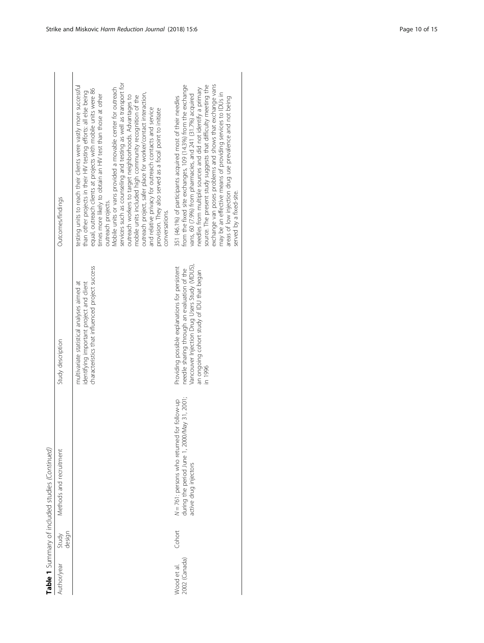|                              |                 | Table 1 Summary of included studies (Continued)                                                                         |                                                                                                                                                                                                       |                                                                                                                                                                                                                                                                                                                                                                                                                                                                                                                                                                                                                                                                                                                                                              |
|------------------------------|-----------------|-------------------------------------------------------------------------------------------------------------------------|-------------------------------------------------------------------------------------------------------------------------------------------------------------------------------------------------------|--------------------------------------------------------------------------------------------------------------------------------------------------------------------------------------------------------------------------------------------------------------------------------------------------------------------------------------------------------------------------------------------------------------------------------------------------------------------------------------------------------------------------------------------------------------------------------------------------------------------------------------------------------------------------------------------------------------------------------------------------------------|
| Author/year                  | design<br>Study | Methods and recruitment                                                                                                 | Study description                                                                                                                                                                                     | Outcomes/findings                                                                                                                                                                                                                                                                                                                                                                                                                                                                                                                                                                                                                                                                                                                                            |
|                              |                 |                                                                                                                         | characteristics that influenced project success<br>multivariate statistical analyses aimed at<br>identifying important project and client                                                             | services such as counseling and testing as well as transport for<br>testing units to reach their clients were vastly more successful<br>Mobile units or vans provided a movable center for outreach<br>equal, outreach clients at projects with mobile units were 86<br>than other projects in their HIV testing efforts: all else being<br>outreach project, safer place for worker/contact interaction,<br>times more likely to obtain an HIV test than those at other<br>outreach workers to target neighborhoods. Advantages to<br>mobile units included high community recognition of the<br>and relative privacy for outreach contacts and service<br>provision. They also served as a focal point to initiate<br>outreach projects.<br>conversations. |
| 2002 (Canada)<br>Wood et al. | Cohort          | during the period June 1, 2000/May 31, 2001;<br>for follow-up<br>N = 761: persons who returned<br>active drug injectors | Vancouver Injection Drug Users Study (VIDUS)<br>Providing possible explanations for persistent<br>needle sharing through an evaluation of the<br>an ongoing cohort study of IDU that began<br>in 1996 | from the fixed site exchanges, 109 (14.3%) from the exchange<br>exchange van poses problems and shows that exchange vans<br>source. The present study suggests that difficulty meeting the<br>needles from multiple sources and did not identify a primary<br>may be an effective means of providing services to IDUs in<br>vans, 60 (7.9%) from pharmacies, and 241 (31.7%) acquired<br>351 (46.1%) of participants acquired most of their needles<br>areas of low injection drug use prevalence and not being<br>served by a fixed-site.                                                                                                                                                                                                                   |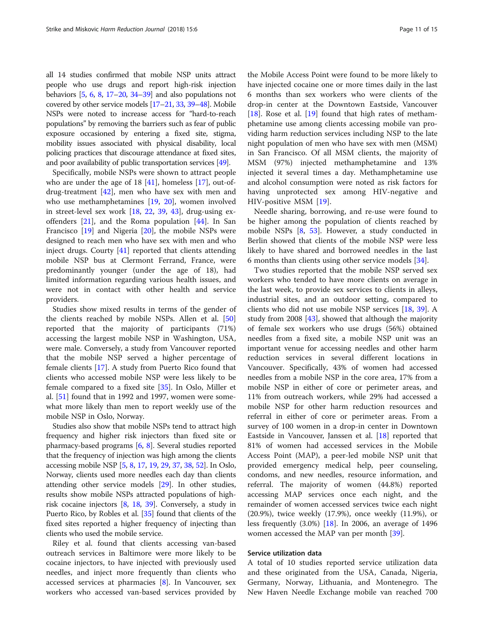all 14 studies confirmed that mobile NSP units attract people who use drugs and report high-risk injection behaviors  $[5, 6, 8, 17-20, 34-39]$  $[5, 6, 8, 17-20, 34-39]$  $[5, 6, 8, 17-20, 34-39]$  $[5, 6, 8, 17-20, 34-39]$  $[5, 6, 8, 17-20, 34-39]$  $[5, 6, 8, 17-20, 34-39]$  $[5, 6, 8, 17-20, 34-39]$  $[5, 6, 8, 17-20, 34-39]$  $[5, 6, 8, 17-20, 34-39]$  $[5, 6, 8, 17-20, 34-39]$  $[5, 6, 8, 17-20, 34-39]$  $[5, 6, 8, 17-20, 34-39]$  $[5, 6, 8, 17-20, 34-39]$  $[5, 6, 8, 17-20, 34-39]$  and also populations not covered by other service models [\[17](#page-13-0)–[21](#page-14-0), [33](#page-14-0), [39](#page-14-0)–[48](#page-14-0)]. Mobile NSPs were noted to increase access for "hard-to-reach populations" by removing the barriers such as fear of public exposure occasioned by entering a fixed site, stigma, mobility issues associated with physical disability, local policing practices that discourage attendance at fixed sites, and poor availability of public transportation services [\[49\]](#page-14-0).

Specifically, mobile NSPs were shown to attract people who are under the age of  $18 \, [41]$  $18 \, [41]$ , homeless  $[17]$  $[17]$  $[17]$ , out-ofdrug-treatment [[42\]](#page-14-0), men who have sex with men and who use methamphetamines [\[19,](#page-14-0) [20\]](#page-14-0), women involved in street-level sex work [\[18,](#page-13-0) [22,](#page-14-0) [39,](#page-14-0) [43](#page-14-0)], drug-using exoffenders [[21](#page-14-0)], and the Roma population [[44\]](#page-14-0). In San Francisco [[19\]](#page-14-0) and Nigeria [[20](#page-14-0)], the mobile NSPs were designed to reach men who have sex with men and who inject drugs. Courty [[41\]](#page-14-0) reported that clients attending mobile NSP bus at Clermont Ferrand, France, were predominantly younger (under the age of 18), had limited information regarding various health issues, and were not in contact with other health and service providers.

Studies show mixed results in terms of the gender of the clients reached by mobile NSPs. Allen et al. [[50](#page-14-0)] reported that the majority of participants (71%) accessing the largest mobile NSP in Washington, USA, were male. Conversely, a study from Vancouver reported that the mobile NSP served a higher percentage of female clients [\[17](#page-13-0)]. A study from Puerto Rico found that clients who accessed mobile NSP were less likely to be female compared to a fixed site [\[35](#page-14-0)]. In Oslo, Miller et al. [[51\]](#page-14-0) found that in 1992 and 1997, women were somewhat more likely than men to report weekly use of the mobile NSP in Oslo, Norway.

Studies also show that mobile NSPs tend to attract high frequency and higher risk injectors than fixed site or pharmacy-based programs [\[6,](#page-13-0) [8\]](#page-13-0). Several studies reported that the frequency of injection was high among the clients accessing mobile NSP [\[5,](#page-13-0) [8](#page-13-0), [17,](#page-13-0) [19](#page-14-0), [29](#page-14-0), [37,](#page-14-0) [38](#page-14-0), [52\]](#page-14-0). In Oslo, Norway, clients used more needles each day than clients attending other service models [\[29](#page-14-0)]. In other studies, results show mobile NSPs attracted populations of highrisk cocaine injectors [[8](#page-13-0), [18](#page-13-0), [39](#page-14-0)]. Conversely, a study in Puerto Rico, by Robles et al. [[35\]](#page-14-0) found that clients of the fixed sites reported a higher frequency of injecting than clients who used the mobile service.

Riley et al. found that clients accessing van-based outreach services in Baltimore were more likely to be cocaine injectors, to have injected with previously used needles, and inject more frequently than clients who accessed services at pharmacies [[8](#page-13-0)]. In Vancouver, sex workers who accessed van-based services provided by

the Mobile Access Point were found to be more likely to have injected cocaine one or more times daily in the last 6 months than sex workers who were clients of the drop-in center at the Downtown Eastside, Vancouver [[18\]](#page-13-0). Rose et al. [[19](#page-14-0)] found that high rates of methamphetamine use among clients accessing mobile van providing harm reduction services including NSP to the late night population of men who have sex with men (MSM) in San Francisco. Of all MSM clients, the majority of MSM (97%) injected methamphetamine and 13% injected it several times a day. Methamphetamine use and alcohol consumption were noted as risk factors for having unprotected sex among HIV-negative and HIV-positive MSM [[19\]](#page-14-0).

Needle sharing, borrowing, and re-use were found to be higher among the population of clients reached by mobile NSPs [[8](#page-13-0), [53\]](#page-14-0). However, a study conducted in Berlin showed that clients of the mobile NSP were less likely to have shared and borrowed needles in the last 6 months than clients using other service models [[34\]](#page-14-0).

Two studies reported that the mobile NSP served sex workers who tended to have more clients on average in the last week, to provide sex services to clients in alleys, industrial sites, and an outdoor setting, compared to clients who did not use mobile NSP services [[18](#page-13-0), [39\]](#page-14-0). A study from 2008  $[43]$  $[43]$  $[43]$ , showed that although the majority of female sex workers who use drugs (56%) obtained needles from a fixed site, a mobile NSP unit was an important venue for accessing needles and other harm reduction services in several different locations in Vancouver. Specifically, 43% of women had accessed needles from a mobile NSP in the core area, 17% from a mobile NSP in either of core or perimeter areas, and 11% from outreach workers, while 29% had accessed a mobile NSP for other harm reduction resources and referral in either of core or perimeter areas. From a survey of 100 women in a drop-in center in Downtown Eastside in Vancouver, Janssen et al. [\[18\]](#page-13-0) reported that 81% of women had accessed services in the Mobile Access Point (MAP), a peer-led mobile NSP unit that provided emergency medical help, peer counseling, condoms, and new needles, resource information, and referral. The majority of women (44.8%) reported accessing MAP services once each night, and the remainder of women accessed services twice each night (20.9%), twice weekly (17.9%), once weekly (11.9%), or less frequently (3.0%) [\[18\]](#page-13-0). In 2006, an average of 1496 women accessed the MAP van per month [[39\]](#page-14-0).

## Service utilization data

A total of 10 studies reported service utilization data and these originated from the USA, Canada, Nigeria, Germany, Norway, Lithuania, and Montenegro. The New Haven Needle Exchange mobile van reached 700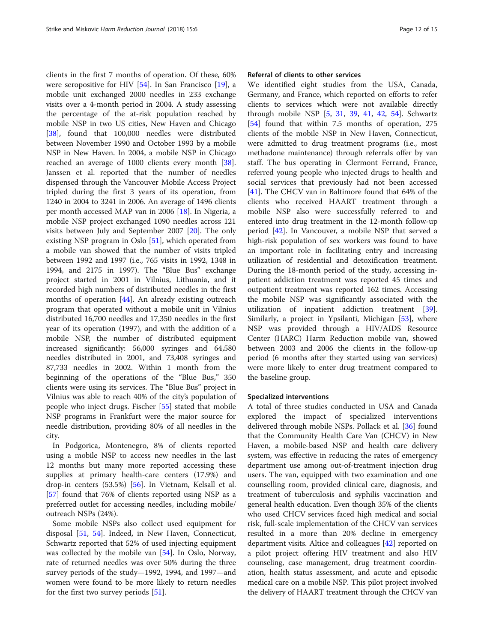clients in the first 7 months of operation. Of these, 60% were seropositive for HIV [[54](#page-14-0)]. In San Francisco [\[19](#page-14-0)], a mobile unit exchanged 2000 needles in 233 exchange visits over a 4-month period in 2004. A study assessing the percentage of the at-risk population reached by mobile NSP in two US cities, New Haven and Chicago [[38\]](#page-14-0), found that 100,000 needles were distributed between November 1990 and October 1993 by a mobile NSP in New Haven. In 2004, a mobile NSP in Chicago reached an average of 1000 clients every month [\[38](#page-14-0)]. Janssen et al. reported that the number of needles dispensed through the Vancouver Mobile Access Project tripled during the first 3 years of its operation, from 1240 in 2004 to 3241 in 2006. An average of 1496 clients per month accessed MAP van in 2006 [[18\]](#page-13-0). In Nigeria, a mobile NSP project exchanged 1090 needles across 121 visits between July and September 2007 [\[20](#page-14-0)]. The only existing NSP program in Oslo [[51](#page-14-0)], which operated from a mobile van showed that the number of visits tripled between 1992 and 1997 (i.e., 765 visits in 1992, 1348 in 1994, and 2175 in 1997). The "Blue Bus" exchange project started in 2001 in Vilnius, Lithuania, and it recorded high numbers of distributed needles in the first months of operation [\[44](#page-14-0)]. An already existing outreach program that operated without a mobile unit in Vilnius distributed 16,700 needles and 17,350 needles in the first year of its operation (1997), and with the addition of a mobile NSP, the number of distributed equipment increased significantly: 56,000 syringes and 64,580 needles distributed in 2001, and 73,408 syringes and 87,733 needles in 2002. Within 1 month from the beginning of the operations of the "Blue Bus," 350 clients were using its services. The "Blue Bus" project in Vilnius was able to reach 40% of the city's population of people who inject drugs. Fischer [[55](#page-14-0)] stated that mobile NSP programs in Frankfurt were the major source for needle distribution, providing 80% of all needles in the city.

In Podgorica, Montenegro, 8% of clients reported using a mobile NSP to access new needles in the last 12 months but many more reported accessing these supplies at primary health-care centers (17.9%) and drop-in centers (53.5%) [[56](#page-14-0)]. In Vietnam, Kelsall et al. [[57\]](#page-14-0) found that 76% of clients reported using NSP as a preferred outlet for accessing needles, including mobile/ outreach NSPs (24%).

Some mobile NSPs also collect used equipment for disposal [\[51](#page-14-0), [54\]](#page-14-0). Indeed, in New Haven, Connecticut, Schwartz reported that 52% of used injecting equipment was collected by the mobile van [[54](#page-14-0)]. In Oslo, Norway, rate of returned needles was over 50% during the three survey periods of the study—1992, 1994, and 1997—and women were found to be more likely to return needles for the first two survey periods [[51](#page-14-0)].

## Referral of clients to other services

We identified eight studies from the USA, Canada, Germany, and France, which reported on efforts to refer clients to services which were not available directly through mobile NSP [\[5](#page-13-0), [31](#page-14-0), [39](#page-14-0), [41](#page-14-0), [42](#page-14-0), [54](#page-14-0)]. Schwartz [[54\]](#page-14-0) found that within 7.5 months of operation, 275 clients of the mobile NSP in New Haven, Connecticut, were admitted to drug treatment programs (i.e., most methadone maintenance) through referrals offer by van staff. The bus operating in Clermont Ferrand, France, referred young people who injected drugs to health and social services that previously had not been accessed [[41\]](#page-14-0). The CHCV van in Baltimore found that 64% of the clients who received HAART treatment through a mobile NSP also were successfully referred to and entered into drug treatment in the 12-month follow-up period [\[42](#page-14-0)]. In Vancouver, a mobile NSP that served a high-risk population of sex workers was found to have an important role in facilitating entry and increasing utilization of residential and detoxification treatment. During the 18-month period of the study, accessing inpatient addiction treatment was reported 45 times and outpatient treatment was reported 162 times. Accessing the mobile NSP was significantly associated with the utilization of inpatient addiction treatment [\[39](#page-14-0)]. Similarly, a project in Ypsilanti, Michigan [[53\]](#page-14-0), where NSP was provided through a HIV/AIDS Resource Center (HARC) Harm Reduction mobile van, showed between 2003 and 2006 the clients in the follow-up period (6 months after they started using van services) were more likely to enter drug treatment compared to the baseline group.

### Specialized interventions

A total of three studies conducted in USA and Canada explored the impact of specialized interventions delivered through mobile NSPs. Pollack et al. [\[36](#page-14-0)] found that the Community Health Care Van (CHCV) in New Haven, a mobile-based NSP and health care delivery system, was effective in reducing the rates of emergency department use among out-of-treatment injection drug users. The van, equipped with two examination and one counselling room, provided clinical care, diagnosis, and treatment of tuberculosis and syphilis vaccination and general health education. Even though 35% of the clients who used CHCV services faced high medical and social risk, full-scale implementation of the CHCV van services resulted in a more than 20% decline in emergency department visits. Altice and colleagues [[42\]](#page-14-0) reported on a pilot project offering HIV treatment and also HIV counseling, case management, drug treatment coordination, health status assessment, and acute and episodic medical care on a mobile NSP. This pilot project involved the delivery of HAART treatment through the CHCV van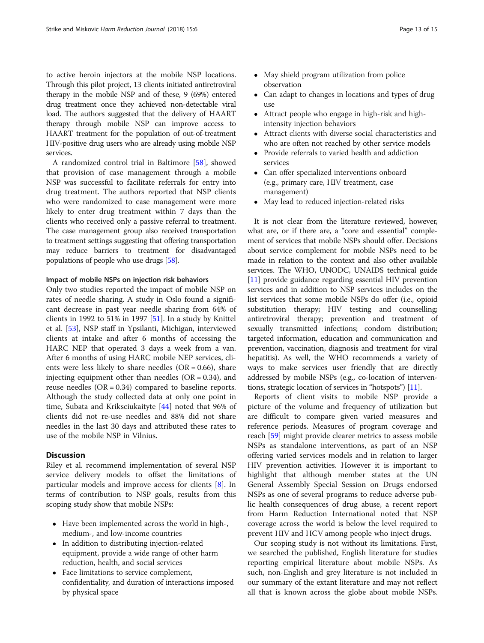to active heroin injectors at the mobile NSP locations. Through this pilot project, 13 clients initiated antiretroviral therapy in the mobile NSP and of these, 9 (69%) entered drug treatment once they achieved non-detectable viral load. The authors suggested that the delivery of HAART therapy through mobile NSP can improve access to HAART treatment for the population of out-of-treatment HIV-positive drug users who are already using mobile NSP services.

A randomized control trial in Baltimore [[58\]](#page-14-0), showed that provision of case management through a mobile NSP was successful to facilitate referrals for entry into drug treatment. The authors reported that NSP clients who were randomized to case management were more likely to enter drug treatment within 7 days than the clients who received only a passive referral to treatment. The case management group also received transportation to treatment settings suggesting that offering transportation may reduce barriers to treatment for disadvantaged populations of people who use drugs [\[58](#page-14-0)].

### Impact of mobile NSPs on injection risk behaviors

Only two studies reported the impact of mobile NSP on rates of needle sharing. A study in Oslo found a significant decrease in past year needle sharing from 64% of clients in 1992 to 51% in 1997  $[51]$  $[51]$ . In a study by Knittel et al. [[53\]](#page-14-0), NSP staff in Ypsilanti, Michigan, interviewed clients at intake and after 6 months of accessing the HARC NEP that operated 3 days a week from a van. After 6 months of using HARC mobile NEP services, clients were less likely to share needles  $(OR = 0.66)$ , share injecting equipment other than needles  $(OR = 0.34)$ , and reuse needles (OR = 0.34) compared to baseline reports. Although the study collected data at only one point in time, Subata and Kriksciukaityte [[44](#page-14-0)] noted that 96% of clients did not re-use needles and 88% did not share needles in the last 30 days and attributed these rates to use of the mobile NSP in Vilnius.

## **Discussion**

Riley et al. recommend implementation of several NSP service delivery models to offset the limitations of particular models and improve access for clients [[8\]](#page-13-0). In terms of contribution to NSP goals, results from this scoping study show that mobile NSPs:

- Have been implemented across the world in high-, medium-, and low-income countries
- In addition to distributing injection-related equipment, provide a wide range of other harm reduction, health, and social services
- Face limitations to service complement, confidentiality, and duration of interactions imposed by physical space
- May shield program utilization from police observation
- Can adapt to changes in locations and types of drug use
- Attract people who engage in high-risk and highintensity injection behaviors
- Attract clients with diverse social characteristics and who are often not reached by other service models
- Provide referrals to varied health and addiction services
- Can offer specialized interventions onboard (e.g., primary care, HIV treatment, case management)
- May lead to reduced injection-related risks

It is not clear from the literature reviewed, however, what are, or if there are, a "core and essential" complement of services that mobile NSPs should offer. Decisions about service complement for mobile NSPs need to be made in relation to the context and also other available services. The WHO, UNODC, UNAIDS technical guide [[11](#page-13-0)] provide guidance regarding essential HIV prevention services and in addition to NSP services includes on the list services that some mobile NSPs do offer (i.e., opioid substitution therapy; HIV testing and counselling; antiretroviral therapy; prevention and treatment of sexually transmitted infections; condom distribution; targeted information, education and communication and prevention, vaccination, diagnosis and treatment for viral hepatitis). As well, the WHO recommends a variety of ways to make services user friendly that are directly addressed by mobile NSPs (e.g., co-location of interventions, strategic location of services in "hotspots") [[11](#page-13-0)].

Reports of client visits to mobile NSP provide a picture of the volume and frequency of utilization but are difficult to compare given varied measures and reference periods. Measures of program coverage and reach [[59\]](#page-14-0) might provide clearer metrics to assess mobile NSPs as standalone interventions, as part of an NSP offering varied services models and in relation to larger HIV prevention activities. However it is important to highlight that although member states at the UN General Assembly Special Session on Drugs endorsed NSPs as one of several programs to reduce adverse public health consequences of drug abuse, a recent report from Harm Reduction International noted that NSP coverage across the world is below the level required to prevent HIV and HCV among people who inject drugs.

Our scoping study is not without its limitations. First, we searched the published, English literature for studies reporting empirical literature about mobile NSPs. As such, non-English and grey literature is not included in our summary of the extant literature and may not reflect all that is known across the globe about mobile NSPs.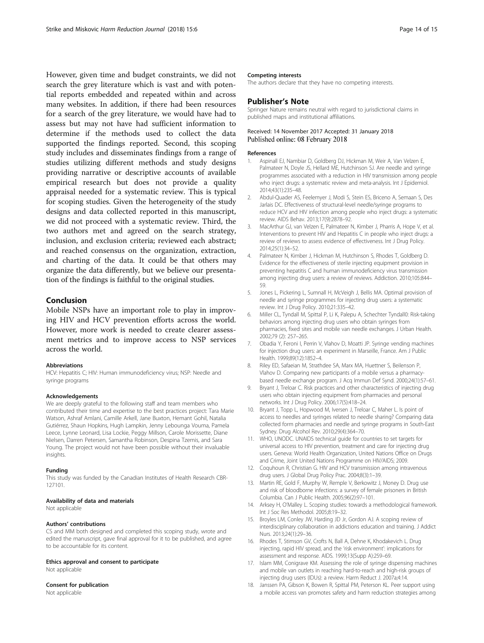<span id="page-13-0"></span>However, given time and budget constraints, we did not search the grey literature which is vast and with potential reports embedded and repeated within and across many websites. In addition, if there had been resources for a search of the grey literature, we would have had to assess but may not have had sufficient information to determine if the methods used to collect the data supported the findings reported. Second, this scoping study includes and disseminates findings from a range of studies utilizing different methods and study designs providing narrative or descriptive accounts of available empirical research but does not provide a quality appraisal needed for a systematic review. This is typical for scoping studies. Given the heterogeneity of the study designs and data collected reported in this manuscript, we did not proceed with a systematic review. Third, the two authors met and agreed on the search strategy, inclusion, and exclusion criteria; reviewed each abstract; and reached consensus on the organization, extraction, and charting of the data. It could be that others may organize the data differently, but we believe our presentation of the findings is faithful to the original studies.

## Conclusion

Mobile NSPs have an important role to play in improving HIV and HCV prevention efforts across the world. However, more work is needed to create clearer assessment metrics and to improve access to NSP services across the world.

#### Abbreviations

HCV: Hepatitis C; HIV: Human immunodeficiency virus; NSP: Needle and syringe programs

#### Acknowledgements

We are deeply grateful to the following staff and team members who contributed their time and expertise to the best practices project: Tara Marie Watson, Ashraf Amlani, Camille Arkell, Jane Buxton, Hemant Gohil, Natalia Gutiérrez, Shaun Hopkins, Hugh Lampkin, Jenny Lebounga Vouma, Pamela Leece, Lynne Leonard, Lisa Lockie, Peggy Millson, Carole Morissette, Diane Nielsen, Darren Petersen, Samantha Robinson, Despina Tzemis, and Sara Young. The project would not have been possible without their invaluable insights.

#### Funding

This study was funded by the Canadian Institutes of Health Research CBR-127101.

#### Availability of data and materials

Not applicable

#### Authors' contributions

CS and MM both designed and completed this scoping study, wrote and edited the manuscript, gave final approval for it to be published, and agree to be accountable for its content.

## Ethics approval and consent to participate

Not applicable

## Consent for publication

Not applicable

#### Competing interests

The authors declare that they have no competing interests.

#### Publisher's Note

Springer Nature remains neutral with regard to jurisdictional claims in published maps and institutional affiliations.

### Received: 14 November 2017 Accepted: 31 January 2018 Published online: 08 February 2018

#### References

- 1. Aspinall EJ, Nambiar D, Goldberg DJ, Hickman M, Weir A, Van Velzen E, Palmateer N, Doyle JS, Hellard ME, Hutchinson SJ. Are needle and syringe programmes associated with a reduction in HIV transmission among people who inject drugs: a systematic review and meta-analysis. Int J Epidemiol. 2014;43(1):235–48.
- 2. Abdul-Quader AS, Feelemyer J, Modi S, Stein ES, Briceno A, Semaan S, Des Jarlais DC. Effectiveness of structural-level needle/syringe programs to reduce HCV and HIV infection among people who inject drugs: a systematic review. AIDS Behav. 2013;17(9):2878–92.
- 3. MacArthur GJ, van Velzen E, Palmateer N, Kimber J, Pharris A, Hope V, et al. Interventions to prevent HIV and Hepatitis C in people who inject drugs: a review of reviews to assess evidence of effectiveness. Int J Drug Policy. 2014;25(1):34–52.
- 4. Palmateer N, Kimber J, Hickman M, Hutchinson S, Rhodes T, Goldberg D. Evidence for the effectiveness of sterile injecting equipment provision in preventing hepatitis C and human immunodeficiency virus transmission among injecting drug users: a review of reviews. Addiction. 2010;105:844– 59.
- 5. Jones L, Pickering L, Sumnall H, McVeigh J, Bellis MA. Optimal provision of needle and syringe programmes for injecting drug users: a systematic review. Int J Drug Policy. 2010;21:335–42.
- 6. Miller CL, Tyndall M, Spittal P, Li K, Palepu A, Schechter Tyndall0: Risk-taking behaviors among injecting drug users who obtain syringes from pharmacies, fixed sites and mobile van needle exchanges. J Urban Health. 2002;79 (2): 257–265.
- 7. Obadia Y, Feroni I, Perrin V, Vlahov D, Moatti JP. Syringe vending machines for injection drug users: an experiment in Marseille, France. Am J Public Health. 1999;89(12):1852–4.
- 8. Riley ED, Safaeian M, Strathdee SA, Marx MA, Huettner S, Beilenson P, Vlahov D. Comparing new participants of a mobile versus a pharmacybased needle exchange program. J Acq Immun Def Synd. 2000;24(1):57–61.
- 9. Bryant J, Treloar C. Risk practices and other characteristics of injecting drug users who obtain injecting equipment from pharmacies and personal networks. Int J Drug Policy. 2006;17(5):418–24.
- 10. Bryant J, Topp L, Hopwood M, Iversen J, Treloar C, Maher L. Is point of access to needles and syringes related to needle sharing? Comparing data collected form pharmacies and needle and syringe programs in South-East Sydney. Drug Alcohol Rev. 2010;29(4):364–70.
- 11. WHO, UNODC. UNAIDS technical guide for countries to set targets for universal access to HIV prevention, treatment and care for injecting drug users. Geneva: World Health Organization, United Nations Office on Drugs and Crime, Joint United Nations Programme on HIV/AIDS; 2009.
- 12. Coquhoun R, Christian G. HIV and HCV transmission among intravenous drug users. J Global Drug Policy Prac. 2004;8(3):1–39.
- 13. Martin RE, Gold F, Murphy W, Remple V, Berkowitz J, Money D. Drug use and risk of bloodborne infections: a survey of female prisoners in British Columbia. Can J Public Health. 2005;96(2):97–101.
- 14. Arksey H, O'Malley L. Scoping studies: towards a methodological framework. Int J Soc Res Methodol. 2005;8:19-32.
- 15. Broyles LM, Conley JW, Harding JD Jr, Gordon AJ. A scoping review of interdisciplinary collaboration in addictions education and training. J Addict Nurs. 2013;24(1):29–36.
- 16. Rhodes T, Stimson GV, Crofts N, Ball A, Dehne K, Khodakevich L. Drug injecting, rapid HIV spread, and the 'risk environment': implications for assessment and response. AIDS. 1999;13(Supp A):259–69.
- 17. Islam MM, Conigrave KM. Assessing the role of syringe dispensing machines and mobile van outlets in reaching hard-to-reach and high-risk groups of injecting drug users (IDUs): a review. Harm Reduct J. 2007a;4:14.
- 18. Janssen PA, Gibson K, Bowen R, Spittal PM, Peterson KL. Peer support using a mobile access van promotes safety and harm reduction strategies among